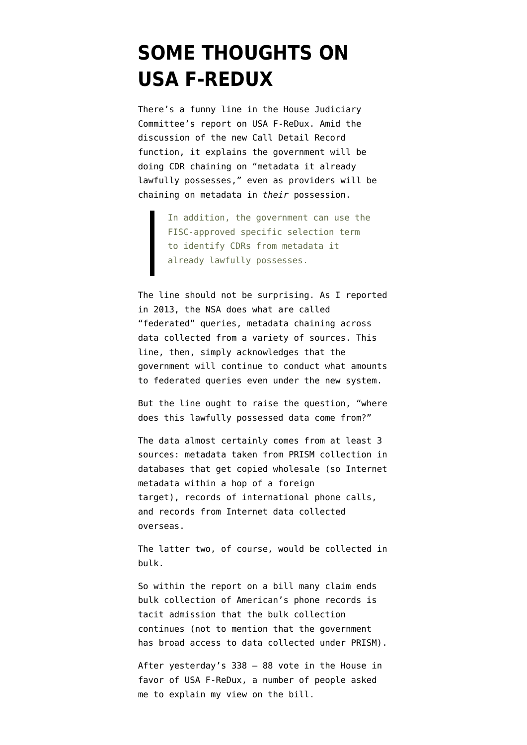## **[SOME THOUGHTS ON](https://www.emptywheel.net/2015/05/14/some-thoughts-on-usa-f-redux/) [USA F-REDUX](https://www.emptywheel.net/2015/05/14/some-thoughts-on-usa-f-redux/)**

There's a funny line in the [House Judiciary](http://www.gpo.gov/fdsys/pkg/CRPT-114hrpt111/pdf/CRPT-114hrpt111.pdf) [Committee's report](http://www.gpo.gov/fdsys/pkg/CRPT-114hrpt111/pdf/CRPT-114hrpt111.pdf) on USA F-ReDux. Amid the discussion of the new Call Detail Record function, it explains the government will be doing CDR chaining on "metadata it already lawfully possesses," even as providers will be chaining on metadata in *their* possession.

> In addition, the government can use the FISC-approved specific selection term to identify CDRs from metadata it already lawfully possesses.

The line should not be surprising. As I [reported](https://www.emptywheel.net/2013/12/03/federated-queries-and-eo-12333-fisc-workaround/) [in 2013,](https://www.emptywheel.net/2013/12/03/federated-queries-and-eo-12333-fisc-workaround/) the NSA does what are called "federated" queries, metadata chaining across data collected from a variety of sources. This line, then, simply acknowledges that the government will continue to conduct what amounts to federated queries even under the new system.

But the line ought to raise the question, "where does this lawfully possessed data come from?"

The data almost certainly comes from at least 3 sources: metadata taken from PRISM collection in databases that get copied wholesale (so Internet metadata within a hop of a foreign target), records of international phone calls, and records from Internet data collected overseas.

The latter two, of course, would be collected in bulk.

So within the report on a bill many claim ends bulk collection of American's phone records is tacit admission that the bulk collection continues (not to mention that the government has broad access to data collected under PRISM).

After yesterday's 338 – 88 vote in the House in favor of USA F-ReDux, a number of people asked me to explain my view on the bill.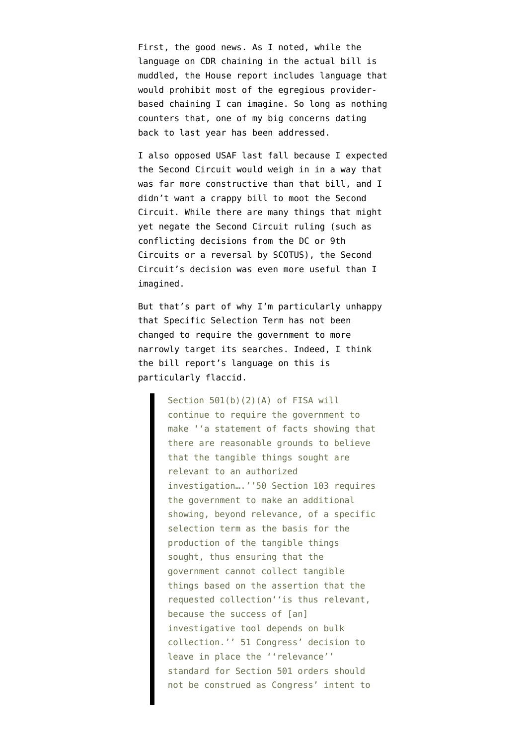First, the good news. As I noted, while the language on CDR chaining in the [actual bill](https://www.congress.gov/114/bills/hr2048/BILLS-114hr2048rh.pdf) is muddled, the House report includes language that would [prohibit](https://www.emptywheel.net/2015/05/11/hjcs-usa-f-redux-report-narrows-language-on-call-detail-records/) most of the egregious providerbased chaining I can imagine. So long as nothing counters that, one of my big concerns dating back to last year has been addressed.

I also opposed USAF last fall because I expected the Second Circuit would weigh in in a way that was far more constructive than that bill, and I didn't want a crappy bill to moot the Second Circuit. While there are many things that might yet negate the Second Circuit ruling (such as conflicting decisions from the DC or 9th Circuits or a reversal by SCOTUS), the Second Circuit's decision was even more useful than I imagined.

But that's part of why I'm particularly unhappy that Specific Selection Term [has not been](https://www.emptywheel.net/2015/05/07/2nd-circuit-decision-striking-down-dragnet-should-require-tighter-specific-selection-term-language/) [changed](https://www.emptywheel.net/2015/05/07/2nd-circuit-decision-striking-down-dragnet-should-require-tighter-specific-selection-term-language/) to require the government to more narrowly target its searches. Indeed, I think the bill report's language on this is particularly flaccid.

> Section 501(b)(2)(A) of FISA will continue to require the government to make ''a statement of facts showing that there are reasonable grounds to believe that the tangible things sought are relevant to an authorized investigation….''50 Section 103 requires the government to make an additional showing, beyond relevance, of a specific selection term as the basis for the production of the tangible things sought, thus ensuring that the government cannot collect tangible things based on the assertion that the requested collection''is thus relevant, because the success of [an] investigative tool depends on bulk collection.'' 51 Congress' decision to leave in place the ''relevance'' standard for Section 501 orders should not be construed as Congress' intent to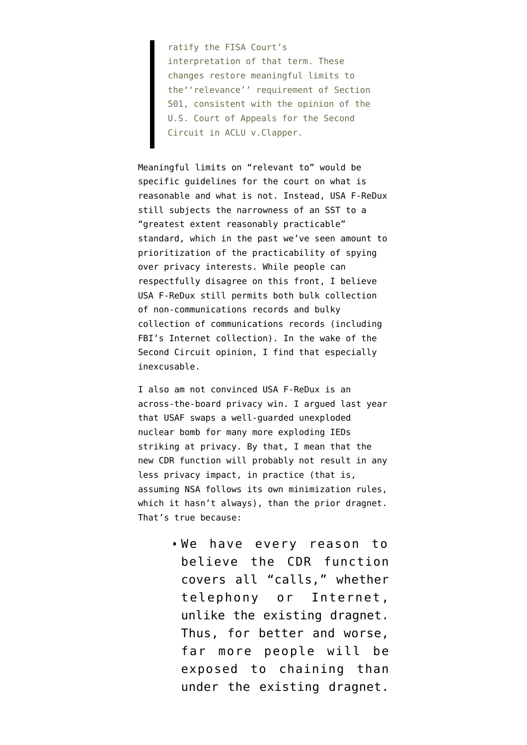ratify the FISA Court's interpretation of that term. These changes restore meaningful limits to the''relevance'' requirement of Section 501, consistent with the opinion of the U.S. Court of Appeals for the Second Circuit in ACLU v.Clapper.

Meaningful limits on "relevant to" would be specific guidelines for the court on what is reasonable and what is not. Instead, USA F-ReDux still subjects the narrowness of an SST to a "greatest extent reasonably practicable" standard, which in the past we've seen amount to prioritization of the practicability of spying over privacy interests. While people can respectfully disagree on this front, I believe USA F-ReDux still permits both bulk collection of non-communications records and bulky collection of communications records (including FBI's Internet collection). In the wake of the Second Circuit opinion, I find that especially inexcusable.

I also am not convinced USA F-ReDux is an across-the-board privacy win. I argued last year that USAF swaps a well-guarded unexploded nuclear bomb for many more exploding IEDs striking at privacy. By that, I mean that the new CDR function will probably not result in any less privacy impact, in practice (that is, assuming NSA follows its own minimization rules, which it hasn't always), than the prior dragnet. That's true because:

> We have every reason to believe the CDR function covers all "calls," whether telephony or Internet, unlike the existing dragnet. Thus, for better and worse, far more people will be exposed to chaining than under the existing dragnet.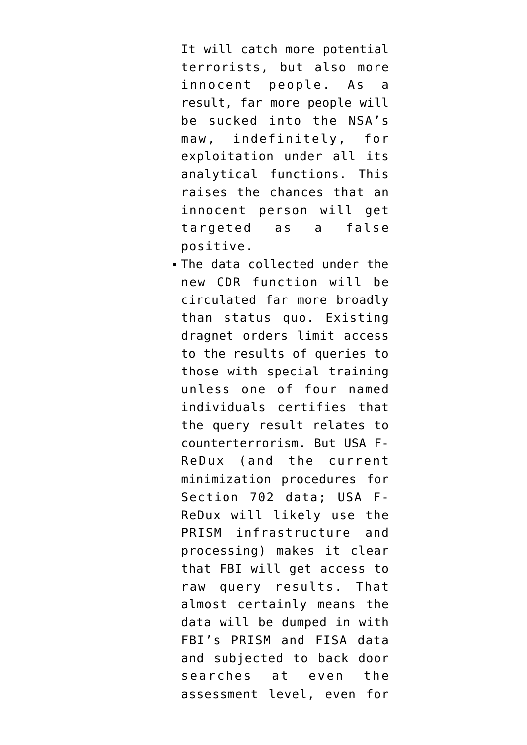It will catch more potential terrorists, but also more innocent people. As a result, far more people will be sucked into the NSA's maw, indefinitely, for exploitation under all its analytical functions. This raises the chances that an innocent person will get targeted as a false positive.

The data collected under the new CDR function will be circulated far more broadly than status quo. Existing dragnet orders limit access to the results of queries to those with special training unless one of four named individuals certifies that the query result relates to counterterrorism. But USA F-ReDux (and the current minimization procedures for Section 702 data; USA F-ReDux will likely use the PRISM infrastructure and processing) [makes it clear](https://www.emptywheel.net/2015/05/01/back-door-searching-the-data-coming-into-fbis-front-door/) that FBI will get access to raw query results. That almost certainly means the data will be dumped in with FBI's PRISM and FISA data and subjected to back door searches at even the assessment level, even for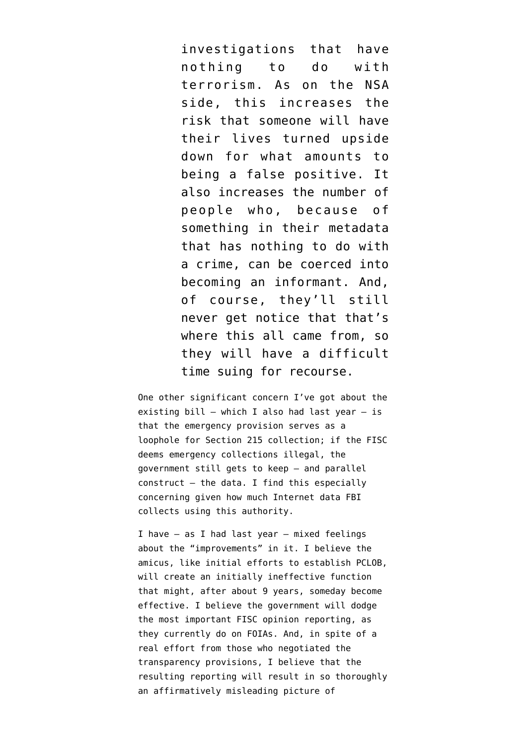investigations that have nothing to do with terrorism. As on the NSA side, this increases the risk that someone will have their lives turned upside down for what amounts to being a false positive. It also increases the number of people who, because of something in their metadata that has nothing to do with a crime, can be coerced into becoming an informant. And, of course, they'll still never get notice that that's where this all came from, so they will have a difficult time suing for recourse.

One other significant concern I've got about the existing bill  $-$  which I also had last year  $-$  is that the emergency provision serves as a loophole for Section 215 collection; if the FISC deems emergency collections illegal, the government still gets to keep — and parallel construct — the data. I find this especially concerning given how much Internet data FBI collects using this authority.

I have — as I had last year — mixed feelings about the "improvements" in it. I believe the amicus, like initial efforts to establish PCLOB, will create [an initially ineffective function](https://www.emptywheel.net/2014/10/01/hiding-yahoos-orcon-and-the-fisc-special-advocate/) that might, after about 9 years, someday become effective. I believe the government will dodge the most important FISC opinion reporting, [as](https://www.emptywheel.net/2014/04/08/the-august-20-2008-correlations-opinion/) [they currently do on FOIAs.](https://www.emptywheel.net/2014/04/08/the-august-20-2008-correlations-opinion/) And, in spite of a real effort from those who negotiated the transparency provisions, I believe that the resulting reporting will result in so thoroughly an affirmatively misleading picture of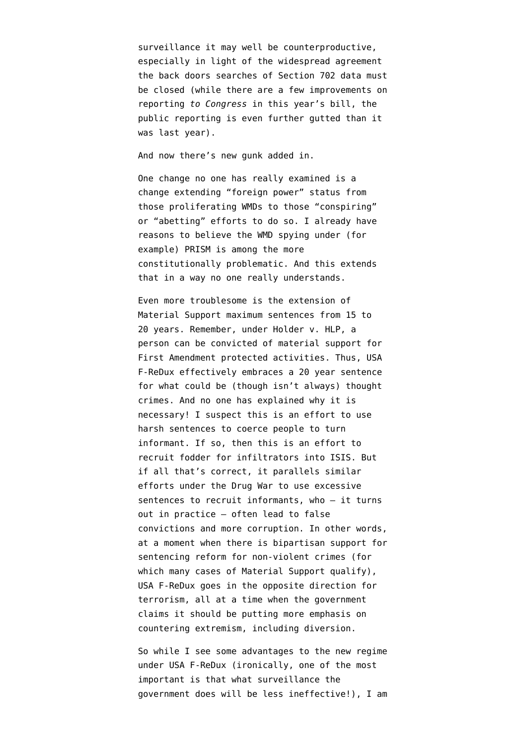surveillance it [may well be counterproductive](https://www.emptywheel.net/2014/09/18/why-usafs-transparency-provisions-will-make-ongoing-organizing-difficult/), especially in light of the widespread agreement the back doors searches of Section 702 data must be closed (while there are a few improvements on reporting *to Congress* in this year's bill, the public reporting is even further gutted than it was last year).

And now there's new gunk added in.

One change no one has really examined is a change extending "foreign power" status from those proliferating WMDs to those "conspiring" or "abetting" efforts to do so. I already have reasons to believe the WMD spying under (for example) PRISM is among the more constitutionally problematic. And this extends that in a way no one really understands.

Even more troublesome is the extension of Material Support maximum sentences from 15 to 20 years. Remember, under Holder v. HLP, a person can be convicted of material support for First Amendment protected activities. Thus, USA F-ReDux effectively embraces a 20 year sentence for what could be (though isn't always) thought crimes. And no one has explained why it is necessary! I suspect this is an effort to use harsh sentences to coerce people to turn informant. If so, then this is an effort to recruit fodder for infiltrators into ISIS. But if all that's correct, it parallels similar efforts under the Drug War to use excessive sentences to recruit informants, who — it turns out in practice — often lead to false convictions and more corruption. In other words, at a moment when there is bipartisan support for sentencing reform for non-violent crimes (for which many cases of Material Support qualify), USA F-ReDux goes in the opposite direction for terrorism, all at a time when the government claims it should be putting more emphasis on countering extremism, including diversion.

So while I see some advantages to the new regime under USA F-ReDux (ironically, one of the most important is that what surveillance the government does will be less ineffective!), I am